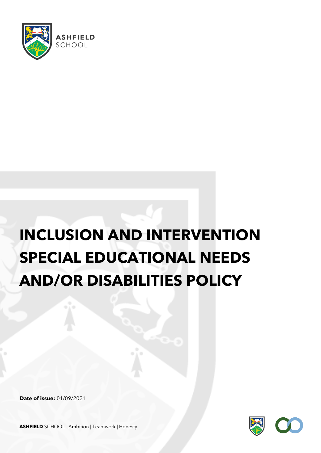

# **INCLUSION AND INTERVENTION SPECIAL EDUCATIONAL NEEDS AND/OR DISABILITIES POLICY**

**Date of issue:** 01/09/2021

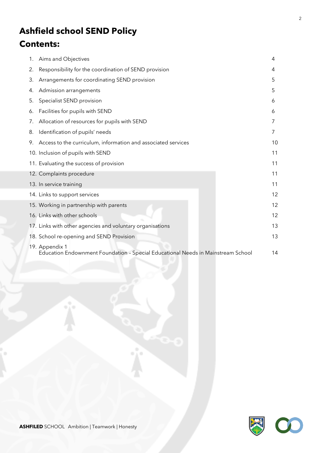## **Ashfield school SEND Policy**

### **Contents:**

| 1. | Aims and Objectives                                                                                | 4  |
|----|----------------------------------------------------------------------------------------------------|----|
| 2. | Responsibility for the coordination of SEND provision                                              | 4  |
| 3. | Arrangements for coordinating SEND provision                                                       | 5  |
| 4. | Admission arrangements                                                                             | 5  |
| 5. | Specialist SEND provision                                                                          | 6  |
| 6. | Facilities for pupils with SEND                                                                    | 6  |
| 7. | Allocation of resources for pupils with SEND                                                       | 7  |
| 8. | Identification of pupils' needs                                                                    | 7  |
|    | 9. Access to the curriculum, information and associated services                                   | 10 |
|    | 10. Inclusion of pupils with SEND                                                                  | 11 |
|    | 11. Evaluating the success of provision                                                            | 11 |
|    | 12. Complaints procedure                                                                           | 11 |
|    | 13. In service training                                                                            | 11 |
|    | 14. Links to support services                                                                      | 12 |
|    | 15. Working in partnership with parents                                                            | 12 |
|    | 16. Links with other schools                                                                       | 12 |
|    | 17. Links with other agencies and voluntary organisations                                          | 13 |
|    | 18. School re-opening and SEND Provision                                                           | 13 |
|    | 19. Appendix 1<br>Education Endownment Foundation - Special Educational Needs in Mainstream School | 14 |

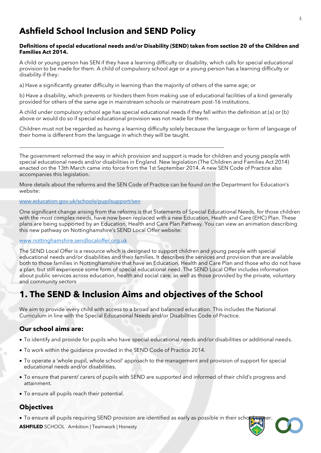### **Ashfield School Inclusion and SEND Policy**

#### **Definitions of special educational needs and/or Disability (SEND) taken from section 20 of the Children and Families Act 2014.**

A child or young person has SEN if they have a learning difficulty or disability, which calls for special educational provision to be made for them. A child of compulsory school age or a young person has a learning difficulty or disability if they:

a) Have a significantly greater difficulty in learning than the majority of others of the same age; or

\_\_\_\_\_\_\_\_\_\_\_\_\_\_\_\_\_\_\_\_\_\_\_\_\_\_\_\_\_\_\_\_\_\_\_\_\_\_\_\_\_\_\_\_\_\_\_\_\_\_\_\_\_\_\_\_\_\_\_\_\_\_\_\_\_\_\_\_\_\_\_\_\_\_\_\_

b) Have a disability, which prevents or hinders them from making use of educational facilities of a kind generally provided for others of the same age in mainstream schools or mainstream post-16 institutions.

A child under compulsory school age has special educational needs if they fall within the definition at (a) or (b) above or would do so if special educational provision was not made for them.

Children must not be regarded as having a learning difficulty solely because the language or form of language of their home is different from the language in which they will be taught.

The government reformed the way in which provision and support is made for children and young people with special educational needs and/or disabilities in England. New legislation (The Children and Families Act 2014) enacted on the 13th March came into force from the 1st September 2014. A new SEN Code of Practice also accompanies this legislation.

More details about the reforms and the SEN Code of Practice can be found on the Department for Education's website:

#### [www.education.gov.uk/schools/pupilsupport/sen](http://www.education.gov.uk/schools/pupilsupport/sen)

One significant change arising from the reforms is that Statements of Special Educational Needs, for those children with the most complex needs, have now been replaced with a new Education, Health and Care (EHC) Plan. These plans are being supported by an Education, Health and Care Plan Pathway. You can view an animation describing this new pathway on Nottinghamshire's SEND Local Offer website:

#### [www.nottinghamshire.sendlocaloffer.org.uk](http://www.nottinghamshire.sendlocaloffer.org.uk/)

The SEND Local Offer is a resource which is designed to support children and young people with special educational needs and/or disabilities and their families. It describes the services and provision that are available both to those families in Nottinghamshire that have an Education, Health and Care Plan and those who do not have a plan, but still experience some form of special educational need. The SEND Local Offer includes information about public services across education, health and social care, as well as those provided by the private, voluntary and community sectors

### **1. The SEND & Inclusion Aims and objectives of the School**

We aim to provide every child with access to a broad and balanced education. This includes the National Curriculum in line with the Special Educational Needs and/or Disabilities Code of Practice.

#### **Our school aims are:**

- To identify and provide for pupils who have special educational needs and/or disabilities or additional needs.
- To work within the guidance provided in the SEND Code of Practice 2014.
- To operate a 'whole pupil, whole school' approach to the management and provision of support for special educational needs and/or disabilities.
- To ensure that parent/ carers of pupils with SEND are supported and informed of their child's progress and attainment.
- To ensure all pupils reach their potential.

#### **Objectives**

• To ensure all pupils requiring SEND provision are identified as early as possible in their scho

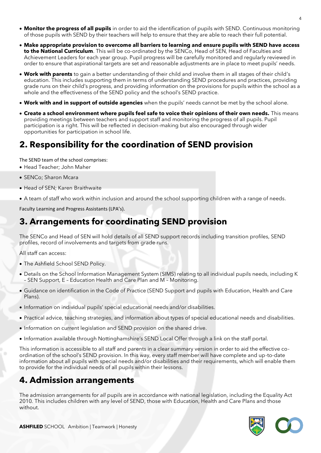- **Monitor the progress of all pupils** in order to aid the identification of pupils with SEND. Continuous monitoring of those pupils with SEND by their teachers will help to ensure that they are able to reach their full potential.
- **Make appropriate provision to overcome all barriers to learning and ensure pupils with SEND have access to the National Curriculum**. This will be co-ordinated by the SENCo, Head of SEN, Head of Faculties and Achievement Leaders for each year group. Pupil progress will be carefully monitored and regularly reviewed in order to ensure that aspirational targets are set and reasonable adjustments are in place to meet pupils' needs.
- **Work with parents** to gain a better understanding of their child and involve them in all stages of their child's education. This includes supporting them in terms of understanding SEND procedures and practices, providing grade runs on their child's progress, and providing information on the provisions for pupils within the school as a whole and the effectiveness of the SEND policy and the school's SEND practice.
- **Work with and in support of outside agencies** when the pupils' needs cannot be met by the school alone.
- **Create a school environment where pupils feel safe to voice their opinions of their own needs.** This means providing meetings between teachers and support staff and monitoring the progress of all pupils. Pupil participation is a right. This will be reflected in decision-making but also encouraged through wider opportunities for participation in school life.

### **2. Responsibility for the coordination of SEND provision**

The SEND team of the school comprises:

- Head Teacher; John Maher
- SENCo; Sharon Mcara
- Head of SEN; Karen Braithwaite
- A team of staff who work within inclusion and around the school supporting children with a range of needs.

Faculty Learning and Progress Assistants (LPA's).

### **3. Arrangements for coordinating SEND provision**

The SENCo and Head of SEN will hold details of all SEND support records including transition profiles, SEND profiles, record of involvements and targets from grade runs.

All staff can access:

- The Ashfield School SEND Policy.
- Details on the School Information Management System (SIMS) relating to all individual pupils needs, including K – SEN Support, E – Education Health and Care Plan and M – Monitoring.
- Guidance on identification in the Code of Practice (SEND Support and pupils with Education, Health and Care Plans).
- Information on individual pupils' special educational needs and/or disabilities.
- Practical advice, teaching strategies, and information about types of special educational needs and disabilities.
- Information on current legislation and SEND provision on the shared drive.
- Information available through Nottinghamshire's SEND Local Offer through a link on the staff portal.

This information is accessible to all staff and parents in a clear summary version in order to aid the effective coordination of the school's SEND provision. In this way, every staff member will have complete and up-to-date information about all pupils with special needs and/or disabilities and their requirements, which will enable them to provide for the individual needs of all pupils within their lessons.

### **4. Admission arrangements**

The admission arrangements for *all* pupils are in accordance with national legislation, including the Equality Act 2010*.* This includes children with any level of SEND, those with Education, Health and Care Plans and those without.

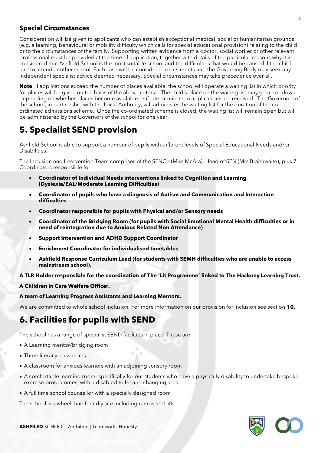#### **Special Circumstances**

Consideration will be given to applicants who can establish exceptional medical, social or humanitarian grounds (e.g. a learning, behavioural or mobility difficulty which calls for special educational provision) relating to the child or to the circumstances of the family. Supporting written evidence from a doctor, social worker or other relevant professional must be provided at the time of application, together with details of the particular reasons why it is considered that Ashfield School is the most suitable school and the difficulties that would be caused if the child had to attend another school. Each case will be considered on its merits and the Governing Body may seek any independent specialist advice deemed necessary. Special circumstances may take precedence over all.

**Note**: If applications exceed the number of places available, the school will operate a waiting list in which priority for places will be given on the basis of the above criteria. The child's place on the waiting list may go up or down depending on whether places become available or if late or mid-term applications are received. The Governors of the school, in partnership with the Local Authority, will administer the waiting list for the duration of the coordinated admissions scheme. Once the co-ordinated scheme is closed, the waiting list will remain open but will be administered by the Governors of the school for one year.

### **5. Specialist SEND provision**

Ashfield School is able to support a number of pupils with different levels of Special Educational Needs and/or Disabilities.

The Inclusion and Intervention Team comprises of the SENCo (Miss McAra), Head of SEN (Mrs Braithwaite), plus 7 Coordinators responsible for:

- **Coordinator of Individual Needs interventions linked to Cognition and Learning (Dyslexia/EAL/Moderate Learning Difficulties)**
- **Coordinator of pupils who have a diagnosis of Autism and Communication and Interaction difficulties**
- **Coordinator responsible for pupils with Physical and/or Sensory needs**
- **Coordinator of the Bridging Room (for pupils with Social Emotional Mental Health difficulties or in need of reintegration due to Anxious Related Non Attendance)**
- **Support Intervention and ADHD Support Coordinator**
- **Enrichment Coordinator for individualised timetables**
- **Ashfield Response Curriculum Lead (for students with SEMH difficulties who are unable to access mainstream school).**

#### **A TLR Holder responsible for the coordination of The 'Lit Programme' linked to The Hackney Learning Trust.**

#### **A Children in Care Welfare Officer.**

#### **A team of Learning Progress Assistants and Learning Mentors.**

We are committed to whole school inclusion. For more information on our provision for inclusion see section **10.**

### **6. Facilities for pupils with SEND**

The school has a range of specialist SEND facilities in place. These are:

- A Learning mentor/bridging room
- Three literacy classrooms
- A classroom for anxious learners with an adjoining sensory room
- A comfortable learning room- specifically for our students who have a physically disability to undertake bespoke exercise programmes, with a disabled toilet and changing area
- A full time school counsellor with a specially designed room

The school is a wheelchair friendly site including ramps and lifts.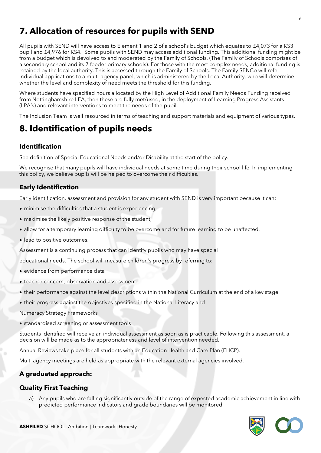### **7. Allocation of resources for pupils with SEND**

All pupils with SEND will have access to Element 1 and 2 of a school's budget which equates to £4,073 for a KS3 pupil and £4,976 for KS4. Some pupils with SEND may access additional funding. This additional funding might be from a budget which is devolved to and moderated by the Family of Schools. (The Family of Schools comprises of a secondary school and its 7 feeder primary schools). For those with the most complex needs, additional funding is retained by the local authority. This is accessed through the Family of Schools. The Family SENCo will refer individual applications to a multi-agency panel, which is administered by the Local Authority, who will determine whether the level and complexity of need meets the threshold for this funding.

Where students have specified hours allocated by the High Level of Additional Family Needs Funding received from Nottinghamshire LEA, then these are fully met/used, in the deployment of Learning Progress Assistants (LPA's) and relevant interventions to meet the needs of the pupil.

The Inclusion Team is well resourced in terms of teaching and support materials and equipment of various types.

### **8. Identification of pupils needs**

#### **Identification**

See definition of Special Educational Needs and/or Disability at the start of the policy.

We recognise that many pupils will have individual needs at some time during their school life. In implementing this policy, we believe pupils will be helped to overcome their difficulties.

#### **Early Identification**

Early identification, assessment and provision for any student with SEND is very important because it can:

- minimise the difficulties that a student is experiencing;
- maximise the likely positive response of the student;
- allow for a temporary learning difficulty to be overcome and for future learning to be unaffected.
- lead to positive outcomes.

Assessment is a continuing process that can identify pupils who may have special

educational needs. The school will measure children's progress by referring to:

- evidence from performance data
- teacher concern, observation and assessment
- their performance against the level descriptions within the National Curriculum at the end of a key stage
- their progress against the objectives specified in the National Literacy and

Numeracy Strategy Frameworks

• standardised screening or assessment tools

Students identified will receive an individual assessment as soon as is practicable. Following this assessment, a decision will be made as to the appropriateness and level of intervention needed.

Annual Reviews take place for all students with an Education Health and Care Plan (EHCP).

Multi agency meetings are held as appropriate with the relevant external agencies involved.

#### **A graduated approach:**

#### **Quality First Teaching**

a) Any pupils who are falling significantly outside of the range of expected academic achievement in line with predicted performance indicators and grade boundaries will be monitored.

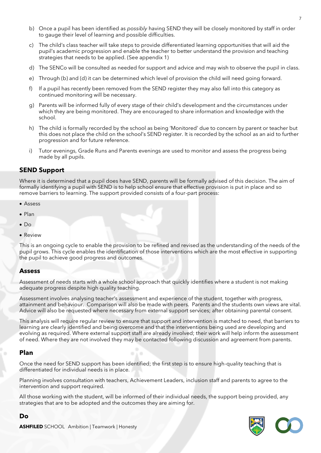- b) Once a pupil has been identified as *possibly* having SEND they will be closely monitored by staff in order to gauge their level of learning and possible difficulties.
- c) The child's class teacher will take steps to provide differentiated learning opportunities that will aid the pupil's academic progression and enable the teacher to better understand the provision and teaching strategies that needs to be applied. (See appendix 1)
- d) The SENCo will be consulted as needed for support and advice and may wish to observe the pupil in class.
- e) Through (b) and (d) it can be determined which level of provision the child will need going forward.
- f) If a pupil has recently been removed from the SEND register they may also fall into this category as continued monitoring will be necessary.
- g) Parents will be informed fully of every stage of their child's development and the circumstances under which they are being monitored. They are encouraged to share information and knowledge with the school.
- h) The child is formally recorded by the school as being 'Monitored' due to concern by parent or teacher but this does not place the child on the school's SEND register. It is recorded by the school as an aid to further progression and for future reference.
- i) Tutor evenings, Grade Runs and Parents evenings are used to monitor and assess the progress being made by all pupils.

#### **SEND Support**

Where it is determined that a pupil does have SEND, parents will be formally advised of this decision. The aim of formally identifying a pupil with SEND is to help school ensure that effective provision is put in place and so remove barriers to learning. The support provided consists of a four-part process:

- Assess
- Plan
- $\bullet$  Do
- Review

This is an ongoing cycle to enable the provision to be refined and revised as the understanding of the needs of the pupil grows. This cycle enables the identification of those interventions which are the most effective in supporting the pupil to achieve good progress and outcomes.

#### **Assess**

Assessment of needs starts with a whole school approach that quickly identifies where a student is not making adequate progress despite high quality teaching.

Assessment involves analysing teacher's assessment and experience of the student, together with progress, attainment and behaviour. Comparison will also be made with peers. Parents and the students own views are vital. Advice will also be requested where necessary from external support services; after obtaining parental consent.

This analysis will require regular review to ensure that support and intervention is matched to need, that barriers to learning are clearly identified and being overcome and that the interventions being used are developing and evolving as required. Where external support staff are already involved; their work will help inform the assessment of need. Where they are not involved they may be contacted following discussion and agreement from parents.

#### **Plan**

**Do** 

Once the need for SEND support has been identified; the first step is to ensure high-quality teaching that is differentiated for individual needs is in place.

Planning involves consultation with teachers, Achievement Leaders, inclusion staff and parents to agree to the intervention and support required.

All those working with the student, will be informed of their individual needs, the support being provided, any strategies that are to be adopted and the outcomes they are aiming for.

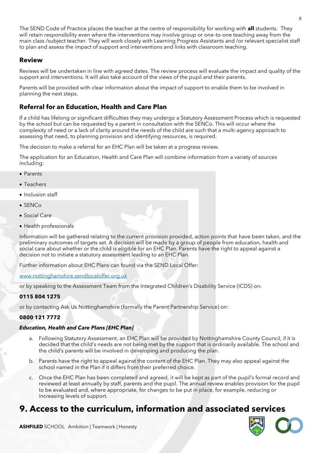The SEND Code of Practice places the teacher at the centre of responsibility for working with **all** students. They will retain responsibility even where the interventions may involve group or one-to-one teaching away from the main class /subject teacher. They will work closely with Learning Progress Assistants and /or relevant specialist staff to plan and assess the impact of support and interventions and links with classroom teaching.

#### **Review**

Reviews will be undertaken in line with agreed dates. The review process will evaluate the impact and quality of the support and interventions. It will also take account of the views of the pupil and their parents.

Parents will be provided with clear information about the impact of support to enable them to be involved in planning the next steps.

#### **Referral for an Education, Health and Care Plan**

If a child has lifelong or significant difficulties they may undergo a Statutory Assessment Process which is requested by the school but can be requested by a parent in consultation with the SENCo. This will occur where the complexity of need or a lack of clarity around the needs of the child are such that a multi-agency approach to assessing that need, to planning provision and identifying resources, is required.

The decision to make a referral for an EHC Plan will be taken at a progress review.

The application for an Education, Health and Care Plan will combine information from a variety of sources including:

- Parents
- Teachers
- Inclusion staff
- SENCo
- Social Care
- Health professionals

Information will be gathered relating to the current provision provided, action points that have been taken, and the preliminary outcomes of targets set. A decision will be made by a group of people from education, health and social care about whether or the child is eligible for an EHC Plan. Parents have the right to appeal against a decision not to initiate a statutory assessment leading to an EHC Plan.

Further information about EHC Plans can found via the SEND Local Offer:

[www.nottinghamshire.sendlocaloffer.org.uk](http://www.nottinghamshire.sendlocaloffer.org.uk/)

or by speaking to the Assessment Team from the Integrated Children's Disability Service (ICDS) on:

#### **0115 804 1275**

or by contacting Ask Us Nottinghamshire (formally the Parent Partnership Service) on:

#### **0800 121 7772**

#### *Education, Health and Care Plans [EHC Plan]*

- a. Following Statutory Assessment, an EHC Plan will be provided by Nottinghamshire County Council, if it is decided that the child's needs are not being met by the support that is ordinarily available. The school and the child's parents will be involved in developing and producing the plan.
- b. Parents have the right to appeal against the content of the EHC Plan. They may also appeal against the school named in the Plan if it differs from their preferred choice.
- c. Once the EHC Plan has been completed and agreed, it will be kept as part of the pupil's formal record and reviewed at least annually by staff, parents and the pupil. The annual review enables provision for the pupil to be evaluated and, where appropriate, for changes to be put in place, for example, reducing or increasing levels of support.

### **9. Access to the curriculum, information and associated services**



8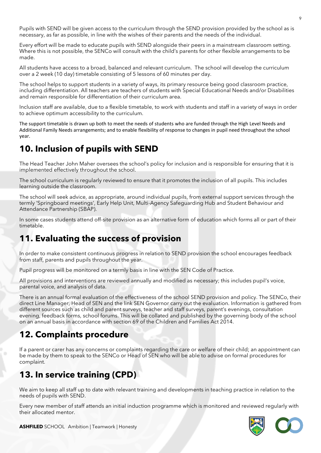Pupils with SEND will be given access to the curriculum through the SEND provision provided by the school as is necessary, as far as possible, in line with the wishes of their parents and the needs of the individual.

Every effort will be made to educate pupils with SEND alongside their peers in a mainstream classroom setting. Where this is not possible, the SENCo will consult with the child's parents for other flexible arrangements to be made.

All students have access to a broad, balanced and relevant curriculum. The school will develop the curriculum over a 2 week (10 day) timetable consisting of 5 lessons of 60 minutes per day.

The school helps to support students in a variety of ways, its primary resource being good classroom practice, including differentiation. All teachers are teachers of students with Special Educational Needs and/or Disabilities and remain responsible for differentiation of their curriculum area.

Inclusion staff are available, due to a flexible timetable, to work with students and staff in a variety of ways in order to achieve optimum accessibility to the curriculum.

The support timetable is drawn up both to meet the needs of students who are funded through the High Level Needs and Additional Family Needs arrangements; and to enable flexibility of response to changes in pupil need throughout the school year.

### **10. Inclusion of pupils with SEND**

The Head Teacher John Maher oversees the school's policy for inclusion and is responsible for ensuring that it is implemented effectively throughout the school.

The school curriculum is regularly reviewed to ensure that it promotes the inclusion of all pupils. This includes learning outside the classroom.

The school will seek advice, as appropriate, around individual pupils, from external support services through the termly 'Springboard meetings', Early Help Unit, Multi-Agency Safeguarding Hub and Student Behaviour and Attendance Partnership (SBAP).

In some cases students attend off-site provision as an alternative form of education which forms all or part of their timetable.

### **11. Evaluating the success of provision**

In order to make consistent continuous progress in relation to SEND provision the school encourages feedback from staff, parents and pupils throughout the year.

Pupil progress will be monitored on a termly basis in line with the SEN Code of Practice.

All provisions and interventions are reviewed annually and modified as necessary; this includes pupil's voice, parental voice, and analysis of data.

There is an annual formal evaluation of the effectiveness of the school SEND provision and policy. The SENCo, their direct Line Manager, Head of SEN and the link SEN Governor carry out the evaluation. Information is gathered from different sources such as child and parent surveys, teacher and staff surveys, parent's evenings, consultation evening, feedback forms, school forums. This will be collated and published by the governing body of the school on an annual basis in accordance with section 69 of the Children and Families Act 2014.

### **12. Complaints procedure**

If a parent or carer has any concerns or complaints regarding the care or welfare of their child; an appointment can be made by them to speak to the SENCo or Head of SEN who will be able to advise on formal procedures for complaint.

### **13. In service training (CPD)**

We aim to keep all staff up to date with relevant training and developments in teaching practice in relation to the needs of pupils with SEND.

Every new member of staff attends an initial induction programme which is monitored and reviewed regularly with their allocated mentor.

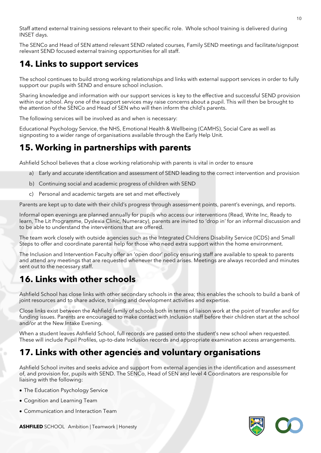Staff attend external training sessions relevant to their specific role. Whole school training is delivered during INSET days.

The SENCo and Head of SEN attend relevant SEND related courses, Family SEND meetings and facilitate/signpost relevant SEND focused external training opportunities for all staff.

### **14. Links to support services**

The school continues to build strong working relationships and links with external support services in order to fully support our pupils with SEND and ensure school inclusion.

Sharing knowledge and information with our support services is key to the effective and successful SEND provision within our school. Any one of the support services may raise concerns about a pupil. This will then be brought to the attention of the SENCo and Head of SEN who will then inform the child's parents.

The following services will be involved as and when is necessary:

Educational Psychology Service, the NHS, Emotional Health & Wellbeing (CAMHS), Social Care as well as signposting to a wider range of organisations available through the Early Help Unit.

### **15. Working in partnerships with parents**

Ashfield School believes that a close working relationship with parents is vital in order to ensure

- a) Early and accurate identification and assessment of SEND leading to the correct intervention and provision
- b) Continuing social and academic progress of children with SEND
- c) Personal and academic targets are set and met effectively

Parents are kept up to date with their child's progress through assessment points, parent's evenings, and reports.

Informal open evenings are planned annually for pupils who access our interventions (Read, Write Inc, Ready to learn, The Lit Programme, Dyslexia Clinic, Numeracy), parents are invited to 'drop in' for an informal discussion and to be able to understand the interventions that are offered.

The team work closely with outside agencies such as the Integrated Childrens Disability Service (ICDS) and Small Steps to offer and coordinate parental help for those who need extra support within the home environment.

The Inclusion and Intervention Faculty offer an 'open door' policy ensuring staff are available to speak to parents and attend any meetings that are requested whenever the need arises. Meetings are always recorded and minutes sent out to the necessary staff.

### **16. Links with other schools**

Ashfield School has close links with other secondary schools in the area; this enables the schools to build a bank of joint resources and to share advice, training and development activities and expertise.

Close links exist between the Ashfield family of schools both in terms of liaison work at the point of transfer and for funding issues. Parents are encouraged to make contact with Inclusion staff before their children start at the school and/or at the New Intake Evening.

When a student leaves Ashfield School, full records are passed onto the student's new school when requested. These will include Pupil Profiles, up-to-date Inclusion records and appropriate examination access arrangements.

### **17. Links with other agencies and voluntary organisations**

Ashfield School invites and seeks advice and support from external agencies in the identification and assessment of, and provision for, pupils with SEND. The SENCo, Head of SEN and level 4 Coordinators are responsible for liaising with the following:

- The Education Psychology Service
- Cognition and Learning Team
- Communication and Interaction Team

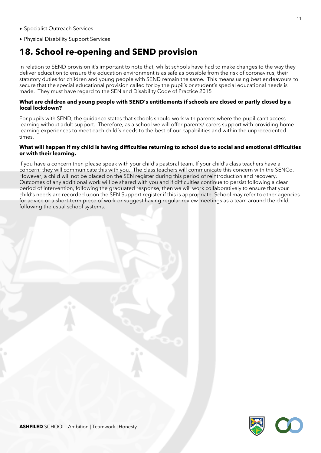- Specialist Outreach Services
- Physical Disability Support Services

### **18. School re-opening and SEND provision**

In relation to SEND provision it's important to note that, whilst schools have had to make changes to the way they deliver education to ensure the education environment is as safe as possible from the risk of coronavirus, their statutory duties for children and young people with SEND remain the same. This means using best endeavours to secure that the special educational provision called for by the pupil's or student's special educational needs is made. They must have regard to the SEN and Disability Code of Practice 2015

#### **What are children and young people with SEND's entitlements if schools are closed or partly closed by a local lockdown?**

For pupils with SEND, the guidance states that schools should work with parents where the pupil can't access learning without adult support. Therefore, as a school we will offer parents/ carers support with providing home learning experiences to meet each child's needs to the best of our capabilities and within the unprecedented times.

#### **What will happen if my child is having difficulties returning to school due to social and emotional difficulties or with their learning.**

If you have a concern then please speak with your child's pastoral team. If your child's class teachers have a concern; they will communicate this with you. The class teachers will communicate this concern with the SENCo. However, a child will not be placed on the SEN register during this period of reintroduction and recovery. Outcomes of any additional work will be shared with you and if difficulties continue to persist following a clear period of intervention, following the graduated response, then we will work collaboratively to ensure that your child's needs are recorded upon the SEN Support register if this is appropriate. School may refer to other agencies for advice or a short-term piece of work or suggest having regular review meetings as a team around the child, following the usual school systems.